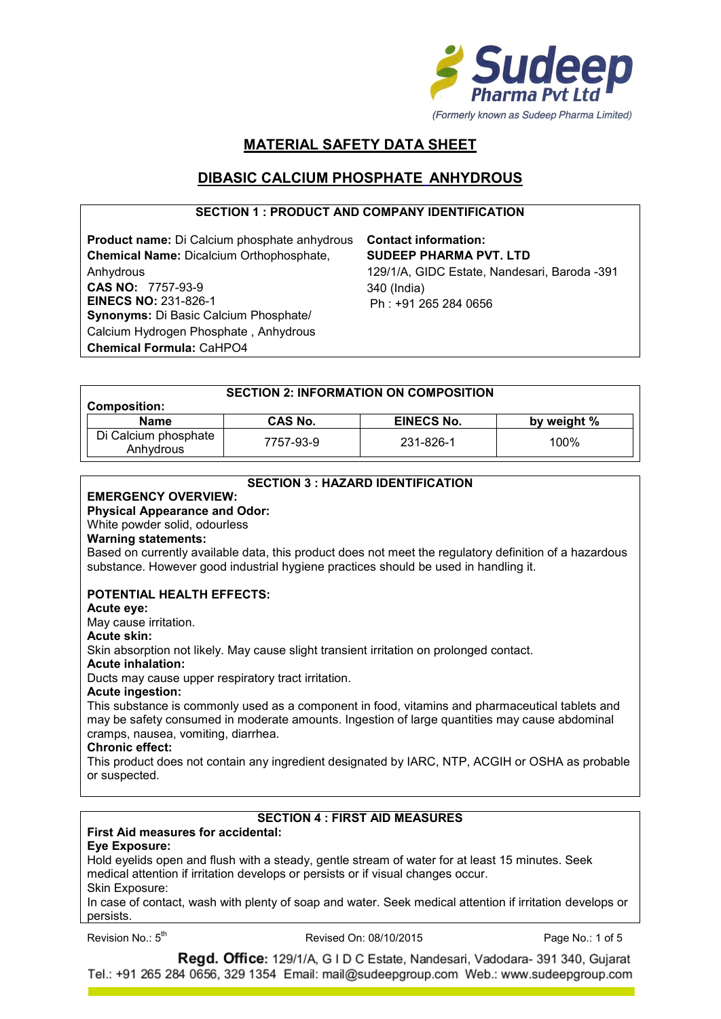

# **MATERIAL SAFETY DATA SHEET**

# **DIBASIC CALCIUM PHOSPHATE ANHYDROUS**

## **SECTION 1 : PRODUCT AND COMPANY IDENTIFICATION**

**Product name:** Di Calcium phosphate anhydrous **Contact information: Chemical Name:** Dicalcium Orthophosphate, Anhydrous **CAS NO:** 7757-93-9 **EINECS NO:** 231-826-1 **Synonyms:** Di Basic Calcium Phosphate/ Calcium Hydrogen Phosphate , Anhydrous **Chemical Formula:** CaHPO4

**SUDEEP PHARMA PVT. LTD** 129/1/A, GIDC Estate, Nandesari, Baroda -391 340 (India) Ph : +91 265 284 0656

| <b>SECTION 2: INFORMATION ON COMPOSITION</b> |           |                   |             |
|----------------------------------------------|-----------|-------------------|-------------|
| <b>Composition:</b>                          |           |                   |             |
| <b>Name</b>                                  | CAS No.   | <b>EINECS No.</b> | by weight % |
| Di Calcium phosphate<br>Anhydrous            | 7757-93-9 | 231-826-1         | 100%        |

### **SECTION 3 : HAZARD IDENTIFICATION**

#### **EMERGENCY OVERVIEW: Physical Appearance and Odor:**

# White powder solid, odourless

# **Warning statements:**

Based on currently available data, this product does not meet the regulatory definition of a hazardous substance. However good industrial hygiene practices should be used in handling it.

## **POTENTIAL HEALTH EFFECTS:**

#### **Acute eye:**

May cause irritation.

#### **Acute skin:**

Skin absorption not likely. May cause slight transient irritation on prolonged contact.

## **Acute inhalation:**

Ducts may cause upper respiratory tract irritation.

#### **Acute ingestion:**

This substance is commonly used as a component in food, vitamins and pharmaceutical tablets and may be safety consumed in moderate amounts. Ingestion of large quantities may cause abdominal cramps, nausea, vomiting, diarrhea.

#### **Chronic effect:**

This product does not contain any ingredient designated by IARC, NTP, ACGIH or OSHA as probable or suspected.

## **SECTION 4 : FIRST AID MEASURES**

## **First Aid measures for accidental:**

### **Eye Exposure:**

Hold eyelids open and flush with a steady, gentle stream of water for at least 15 minutes. Seek medical attention if irritation develops or persists or if visual changes occur. Skin Exposure:

In case of contact, wash with plenty of soap and water. Seek medical attention if irritation develops or persists.

Revision No.: 5

Revised On: 08/10/2015 Page No.: 1 of 5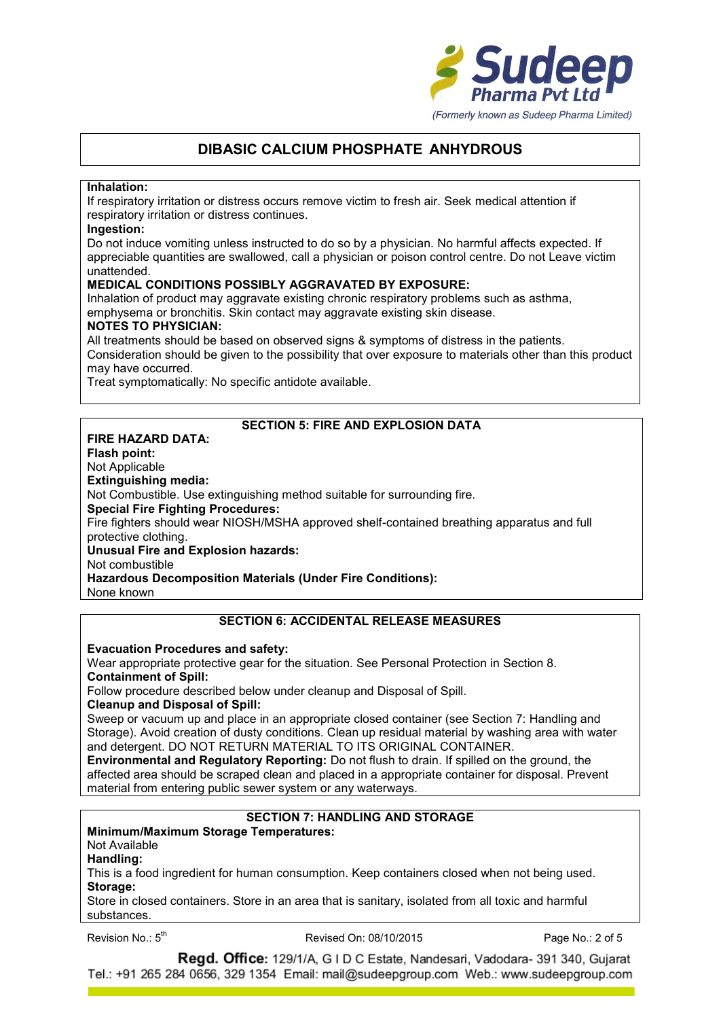

#### **Inhalation:**

If respiratory irritation or distress occurs remove victim to fresh air. Seek medical attention if respiratory irritation or distress continues.

#### **Ingestion:**

Do not induce vomiting unless instructed to do so by a physician. No harmful affects expected. If appreciable quantities are swallowed, call a physician or poison control centre. Do not Leave victim unattended.

## **MEDICAL CONDITIONS POSSIBLY AGGRAVATED BY EXPOSURE:**

Inhalation of product may aggravate existing chronic respiratory problems such as asthma, emphysema or bronchitis. Skin contact may aggravate existing skin disease.

### **NOTES TO PHYSICIAN:**

All treatments should be based on observed signs & symptoms of distress in the patients. Consideration should be given to the possibility that over exposure to materials other than this product may have occurred.

Treat symptomatically: No specific antidote available.

## **SECTION 5: FIRE AND EXPLOSION DATA**

**FIRE HAZARD DATA: Flash point:** Not Applicable **Extinguishing media:** Not Combustible. Use extinguishing method suitable for surrounding fire. **Special Fire Fighting Procedures:** Fire fighters should wear NIOSH/MSHA approved shelf-contained breathing apparatus and full protective clothing. **Unusual Fire and Explosion hazards:** Not combustible **Hazardous Decomposition Materials (Under Fire Conditions):**

None known

# **SECTION 6: ACCIDENTAL RELEASE MEASURES**

#### **Evacuation Procedures and safety:**

Wear appropriate protective gear for the situation. See Personal Protection in Section 8. **Containment of Spill:**

Follow procedure described below under cleanup and Disposal of Spill.

### **Cleanup and Disposal of Spill:**

Sweep or vacuum up and place in an appropriate closed container (see Section 7: Handling and Storage). Avoid creation of dusty conditions. Clean up residual material by washing area with water and detergent. DO NOT RETURN MATERIAL TO ITS ORIGINAL CONTAINER.

**Environmental and Regulatory Reporting:** Do not flush to drain. If spilled on the ground, the affected area should be scraped clean and placed in a appropriate container for disposal. Prevent material from entering public sewer system or any waterways.

# **SECTION 7: HANDLING AND STORAGE**

## **Minimum/Maximum Storage Temperatures:**

Not Available

**Handling:**

This is a food ingredient for human consumption. Keep containers closed when not being used. **Storage:**

Store in closed containers. Store in an area that is sanitary, isolated from all toxic and harmful substances.

Revision No.: 5<sup>th</sup>

Revised On: 08/10/2015 Page No.: 2 of 5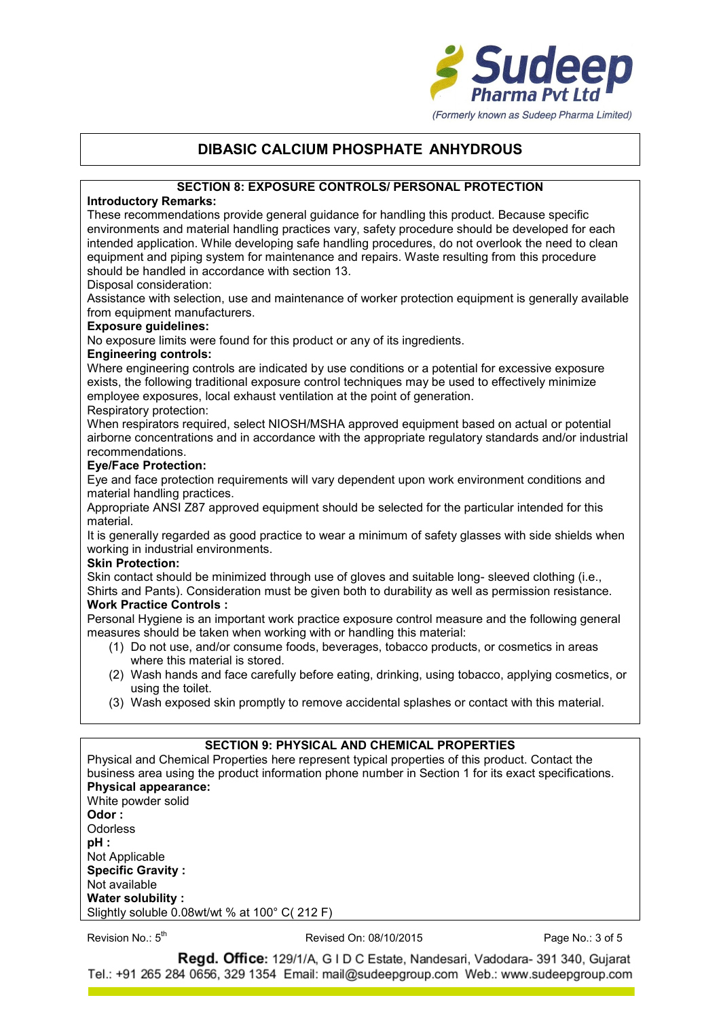

## **SECTION 8: EXPOSURE CONTROLS/ PERSONAL PROTECTION**

## **Introductory Remarks:**

These recommendations provide general guidance for handling this product. Because specific environments and material handling practices vary, safety procedure should be developed for each intended application. While developing safe handling procedures, do not overlook the need to clean equipment and piping system for maintenance and repairs. Waste resulting from this procedure should be handled in accordance with section 13.

### Disposal consideration:

Assistance with selection, use and maintenance of worker protection equipment is generally available from equipment manufacturers.

### **Exposure guidelines:**

No exposure limits were found for this product or any of its ingredients.

#### **Engineering controls:**

Where engineering controls are indicated by use conditions or a potential for excessive exposure exists, the following traditional exposure control techniques may be used to effectively minimize employee exposures, local exhaust ventilation at the point of generation.

#### Respiratory protection:

When respirators required, select NIOSH/MSHA approved equipment based on actual or potential airborne concentrations and in accordance with the appropriate regulatory standards and/or industrial recommendations.

### **Eye/Face Protection:**

Eye and face protection requirements will vary dependent upon work environment conditions and material handling practices.

Appropriate ANSI Z87 approved equipment should be selected for the particular intended for this material.

It is generally regarded as good practice to wear a minimum of safety glasses with side shields when working in industrial environments.

#### **Skin Protection:**

Skin contact should be minimized through use of gloves and suitable long- sleeved clothing (i.e., Shirts and Pants). Consideration must be given both to durability as well as permission resistance.

## **Work Practice Controls :**

Personal Hygiene is an important work practice exposure control measure and the following general measures should be taken when working with or handling this material:

- (1) Do not use, and/or consume foods, beverages, tobacco products, or cosmetics in areas where this material is stored.
- (2) Wash hands and face carefully before eating, drinking, using tobacco, applying cosmetics, or using the toilet.
- (3) Wash exposed skin promptly to remove accidental splashes or contact with this material.

## **SECTION 9: PHYSICAL AND CHEMICAL PROPERTIES**

Physical and Chemical Properties here represent typical properties of this product. Contact the business area using the product information phone number in Section 1 for its exact specifications. **Physical appearance:** White powder solid **Odor : Odorless pH :** Not Applicable **Specific Gravity :** Not available

#### Revision No.: 5<sup>th</sup>

**Water solubility :**

Slightly soluble 0.08wt/wt % at 100° C( 212 F)

Revised On: 08/10/2015 Page No.: 3 of 5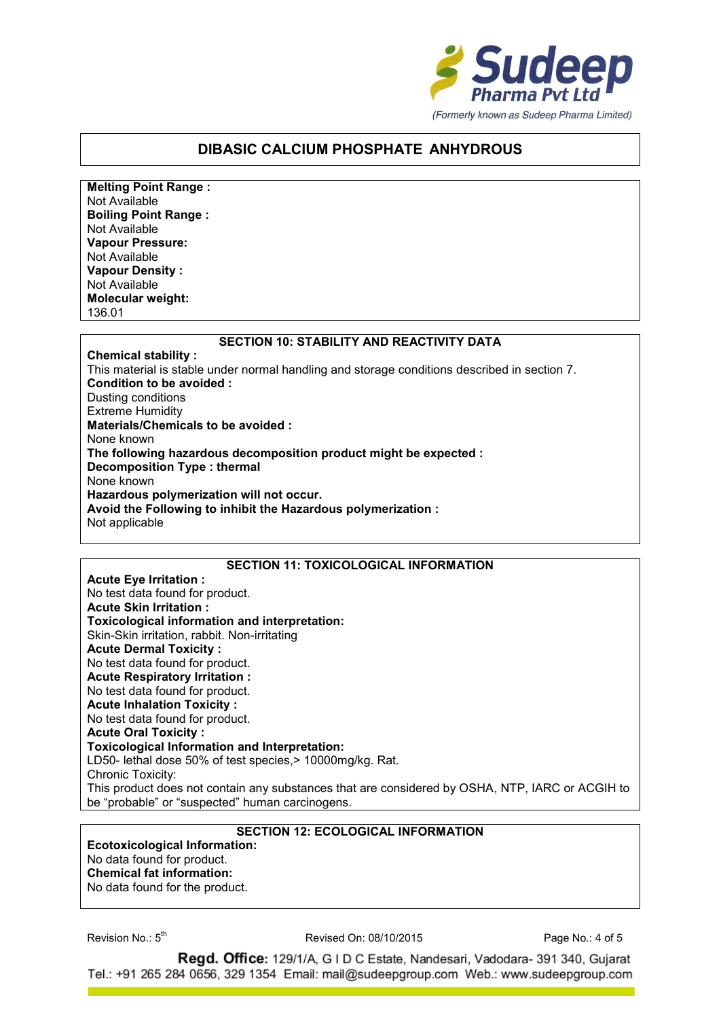

**Melting Point Range :** Not Available **Boiling Point Range :** Not Available **Vapour Pressure:** Not Available **Vapour Density :** Not Available **Molecular weight:** 136.01

### **SECTION 10: STABILITY AND REACTIVITY DATA**

**Chemical stability :** This material is stable under normal handling and storage conditions described in section 7. **Condition to be avoided :** Dusting conditions Extreme Humidity **Materials/Chemicals to be avoided :** None known **The following hazardous decomposition product might be expected : Decomposition Type : thermal** None known **Hazardous polymerization will not occur. Avoid the Following to inhibit the Hazardous polymerization :** Not applicable

#### **SECTION 11: TOXICOLOGICAL INFORMATION**

**Acute Eye Irritation :** No test data found for product. **Acute Skin Irritation : Toxicological information and interpretation:** Skin-Skin irritation, rabbit. Non-irritating **Acute Dermal Toxicity :** No test data found for product. **Acute Respiratory Irritation :** No test data found for product. **Acute Inhalation Toxicity :** No test data found for product. **Acute Oral Toxicity : Toxicological Information and Interpretation:** LD50- lethal dose 50% of test species, > 10000mg/kg. Rat. Chronic Toxicity: This product does not contain any substances that are considered by OSHA, NTP, IARC or ACGIH to be "probable" or "suspected" human carcinogens.

## **SECTION 12: ECOLOGICAL INFORMATION**

**Ecotoxicological Information:** No data found for product. **Chemical fat information:** No data found for the product.

Revision No.: 5

Revised On: 08/10/2015 Page No.: 4 of 5